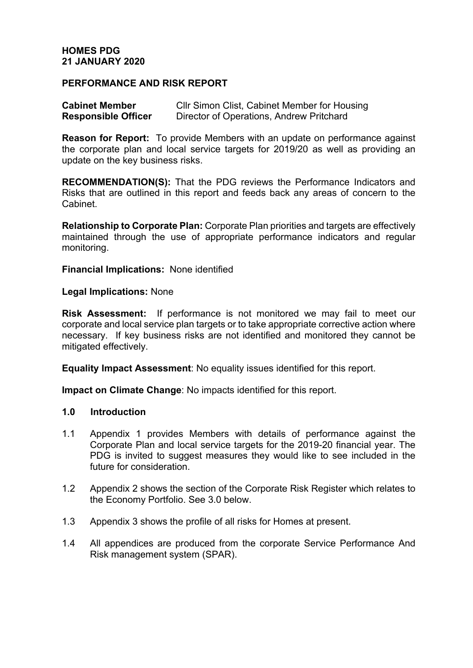#### **HOMES PDG 21 JANUARY 2020**

#### **PERFORMANCE AND RISK REPORT**

| <b>Cabinet Member</b>      | Cllr Simon Clist, Cabinet Member for Housing |
|----------------------------|----------------------------------------------|
| <b>Responsible Officer</b> | Director of Operations, Andrew Pritchard     |

**Reason for Report:** To provide Members with an update on performance against the corporate plan and local service targets for 2019/20 as well as providing an update on the key business risks.

**RECOMMENDATION(S):** That the PDG reviews the Performance Indicators and Risks that are outlined in this report and feeds back any areas of concern to the Cabinet.

**Relationship to Corporate Plan:** Corporate Plan priorities and targets are effectively maintained through the use of appropriate performance indicators and regular monitoring.

**Financial Implications:** None identified

**Legal Implications:** None

**Risk Assessment:** If performance is not monitored we may fail to meet our corporate and local service plan targets or to take appropriate corrective action where necessary. If key business risks are not identified and monitored they cannot be mitigated effectively.

**Equality Impact Assessment**: No equality issues identified for this report.

**Impact on Climate Change**: No impacts identified for this report.

#### **1.0 Introduction**

- 1.1 Appendix 1 provides Members with details of performance against the Corporate Plan and local service targets for the 2019-20 financial year. The PDG is invited to suggest measures they would like to see included in the future for consideration.
- 1.2 Appendix 2 shows the section of the Corporate Risk Register which relates to the Economy Portfolio. See 3.0 below.
- 1.3 Appendix 3 shows the profile of all risks for Homes at present.
- 1.4 All appendices are produced from the corporate Service Performance And Risk management system (SPAR).